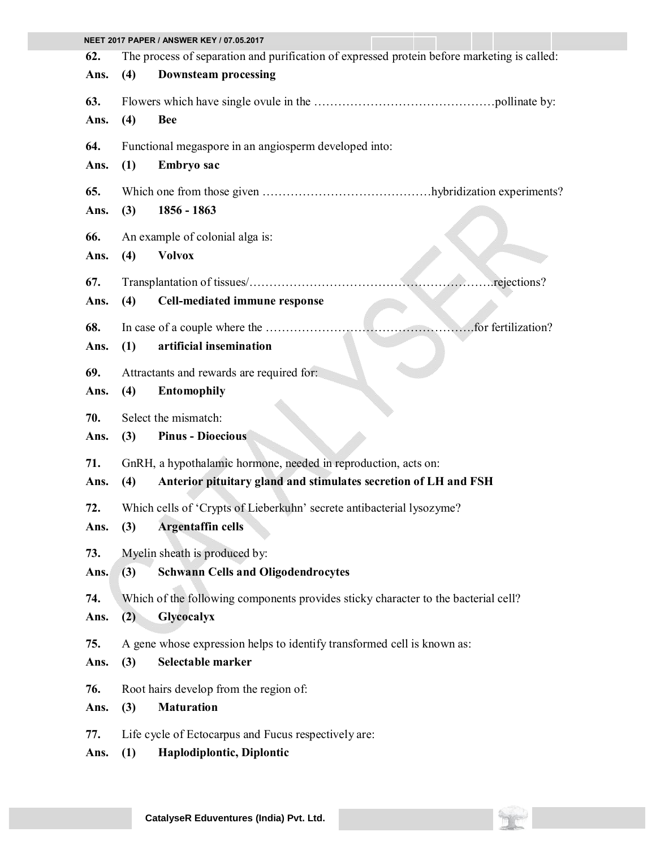| NEET 2017 PAPER / ANSWER KEY / 07.05.2017 |     |                                                                                             |  |  |
|-------------------------------------------|-----|---------------------------------------------------------------------------------------------|--|--|
| 62.                                       |     | The process of separation and purification of expressed protein before marketing is called: |  |  |
| Ans.                                      | (4) | <b>Downsteam processing</b>                                                                 |  |  |
| 63.                                       |     |                                                                                             |  |  |
| Ans.                                      | (4) | <b>Bee</b>                                                                                  |  |  |
| 64.                                       |     | Functional megaspore in an angiosperm developed into:                                       |  |  |
| Ans.                                      | (1) | <b>Embryo</b> sac                                                                           |  |  |
| 65.                                       |     |                                                                                             |  |  |
| Ans.                                      | (3) | 1856 - 1863                                                                                 |  |  |
| 66.                                       |     | An example of colonial alga is:                                                             |  |  |
| Ans.                                      | (4) | <b>Volvox</b>                                                                               |  |  |
| 67.                                       |     | rejections?                                                                                 |  |  |
| Ans.                                      | (4) | Cell-mediated immune response                                                               |  |  |
| 68.                                       |     | for fertilization?                                                                          |  |  |
| Ans.                                      | (1) | artificial insemination                                                                     |  |  |
| 69.                                       |     | Attractants and rewards are required for:                                                   |  |  |
| Ans.                                      | (4) | <b>Entomophily</b>                                                                          |  |  |
| 70.                                       |     | Select the mismatch:                                                                        |  |  |
| Ans.                                      | (3) | <b>Pinus - Dioecious</b>                                                                    |  |  |
| 71.                                       |     | GnRH, a hypothalamic hormone, needed in reproduction, acts on:                              |  |  |
| Ans.                                      | (4) | Anterior pituitary gland and stimulates secretion of LH and FSH                             |  |  |
| 72.                                       |     | Which cells of 'Crypts of Lieberkuhn' secrete antibacterial lysozyme?                       |  |  |
| Ans.                                      | (3) | <b>Argentaffin cells</b>                                                                    |  |  |
| 73.                                       |     | Myelin sheath is produced by:                                                               |  |  |
| Ans.                                      | (3) | <b>Schwann Cells and Oligodendrocytes</b>                                                   |  |  |
| 74.                                       |     | Which of the following components provides sticky character to the bacterial cell?          |  |  |
| Ans.                                      | (2) | Glycocalyx                                                                                  |  |  |
| 75.                                       |     | A gene whose expression helps to identify transformed cell is known as:                     |  |  |
| Ans.                                      | (3) | Selectable marker                                                                           |  |  |
| 76.                                       |     | Root hairs develop from the region of:                                                      |  |  |
| Ans.                                      | (3) | <b>Maturation</b>                                                                           |  |  |
| 77.                                       |     | Life cycle of Ectocarpus and Fucus respectively are:                                        |  |  |
| Ans.                                      | (1) | Haplodiplontic, Diplontic                                                                   |  |  |

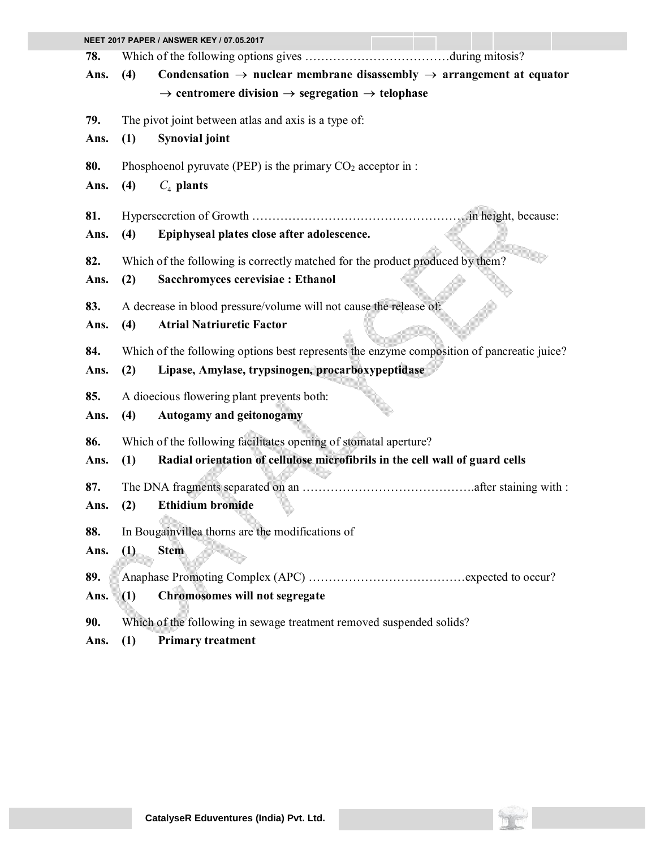| NEET 2017 PAPER / ANSWER KEY / 07.05.2017 |                                                                      |                                                                                              |  |  |
|-------------------------------------------|----------------------------------------------------------------------|----------------------------------------------------------------------------------------------|--|--|
| 78.                                       |                                                                      |                                                                                              |  |  |
| Ans.                                      | (4)                                                                  | Condensation $\rightarrow$ nuclear membrane disassembly $\rightarrow$ arrangement at equator |  |  |
|                                           |                                                                      | $\rightarrow$ centromere division $\rightarrow$ segregation $\rightarrow$ telophase          |  |  |
| 79.                                       |                                                                      | The pivot joint between atlas and axis is a type of:                                         |  |  |
| Ans.                                      | (1)                                                                  | <b>Synovial joint</b>                                                                        |  |  |
| 80.                                       |                                                                      | Phosphoenol pyruvate (PEP) is the primary $CO2$ acceptor in :                                |  |  |
| Ans.                                      | (4)                                                                  | $C_4$ plants                                                                                 |  |  |
| 81.                                       |                                                                      |                                                                                              |  |  |
| Ans.                                      | (4)                                                                  | Epiphyseal plates close after adolescence.                                                   |  |  |
| 82.                                       |                                                                      | Which of the following is correctly matched for the product produced by them?                |  |  |
| Ans.                                      | (2)                                                                  | Sacchromyces cerevisiae : Ethanol                                                            |  |  |
| 83.                                       |                                                                      | A decrease in blood pressure/volume will not cause the release of:                           |  |  |
| Ans.                                      | (4)                                                                  | <b>Atrial Natriuretic Factor</b>                                                             |  |  |
| 84.                                       |                                                                      | Which of the following options best represents the enzyme composition of pancreatic juice?   |  |  |
| Ans.                                      | (2)                                                                  | Lipase, Amylase, trypsinogen, procarboxypeptidase                                            |  |  |
| 85.                                       |                                                                      | A dioecious flowering plant prevents both:                                                   |  |  |
| Ans.                                      | (4)                                                                  | <b>Autogamy and geitonogamy</b>                                                              |  |  |
| 86.                                       |                                                                      | Which of the following facilitates opening of stomatal aperture?                             |  |  |
| Ans.                                      | (1)                                                                  | Radial orientation of cellulose microfibrils in the cell wall of guard cells                 |  |  |
| 87.                                       |                                                                      |                                                                                              |  |  |
| Ans.                                      | (2)                                                                  | <b>Ethidium bromide</b>                                                                      |  |  |
| 88.                                       | In Bougainvillea thorns are the modifications of                     |                                                                                              |  |  |
| Ans.                                      | (1)                                                                  | <b>Stem</b>                                                                                  |  |  |
| 89.                                       |                                                                      |                                                                                              |  |  |
| Ans.                                      | (1)                                                                  | <b>Chromosomes will not segregate</b>                                                        |  |  |
| 90.                                       | Which of the following in sewage treatment removed suspended solids? |                                                                                              |  |  |
| Ans.                                      | (1)                                                                  | <b>Primary treatment</b>                                                                     |  |  |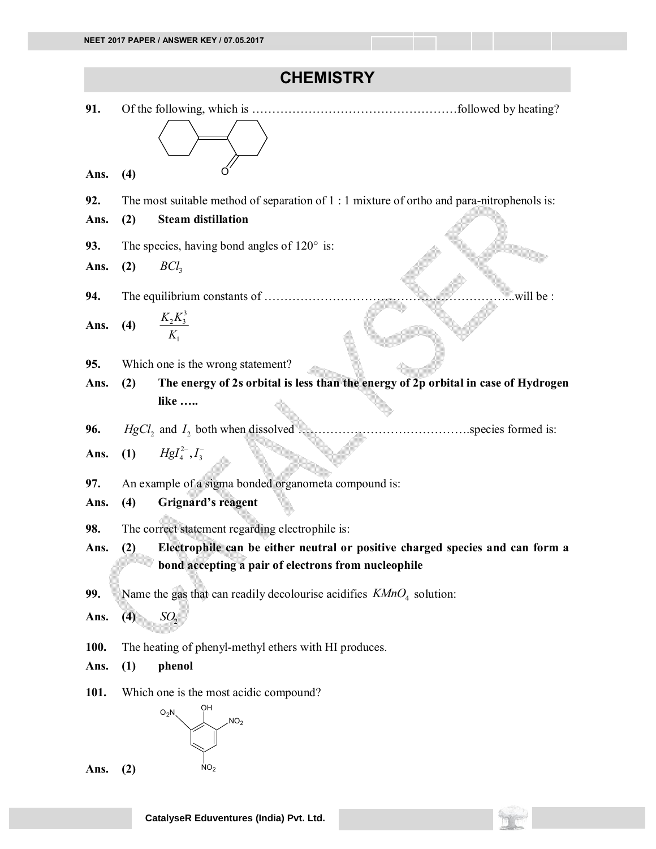## **CHEMISTRY**

| 91.  |                                                                                            |
|------|--------------------------------------------------------------------------------------------|
|      |                                                                                            |
|      |                                                                                            |
| Ans. | (4)                                                                                        |
| 92.  | The most suitable method of separation of 1 : 1 mixture of ortho and para-nitrophenols is: |
| Ans. | <b>Steam distillation</b><br>(2)                                                           |
| 93.  | The species, having bond angles of $120^\circ$ is:                                         |
| Ans. | BCl <sub>3</sub><br>(2)                                                                    |
| 94.  | will be:                                                                                   |
| Ans. | (4) $\frac{K_2 K_3^3}{K_1}$                                                                |
|      |                                                                                            |
| 95.  | Which one is the wrong statement?                                                          |
| Ans. | The energy of 2s orbital is less than the energy of 2p orbital in case of Hydrogen<br>(2)  |
|      | like                                                                                       |
| 96.  |                                                                                            |
| Ans. | (1) $Hgl_4^{2-}, I_3^-$                                                                    |
| 97.  | An example of a sigma bonded organometa compound is:                                       |
| Ans. | <b>Grignard's reagent</b><br>(4)                                                           |
| 98.  | The correct statement regarding electrophile is:                                           |
| Ans. | Electrophile can be either neutral or positive charged species and can form a<br>(2)       |
|      | bond accepting a pair of electrons from nucleophile                                        |
| 99.  | Name the gas that can readily decolourise acidifies $K M n O4$ solution:                   |
| Ans. | SO <sub>2</sub><br>(4)                                                                     |
| 100. | The heating of phenyl-methyl ethers with HI produces.                                      |
| Ans. | phenol<br>(1)                                                                              |
| 101. | Which one is the most acidic compound?                                                     |
|      | ÓН<br>$O_2N$<br>NO <sub>2</sub>                                                            |
|      |                                                                                            |
| Ans. | NO <sub>2</sub><br>(2)                                                                     |
|      |                                                                                            |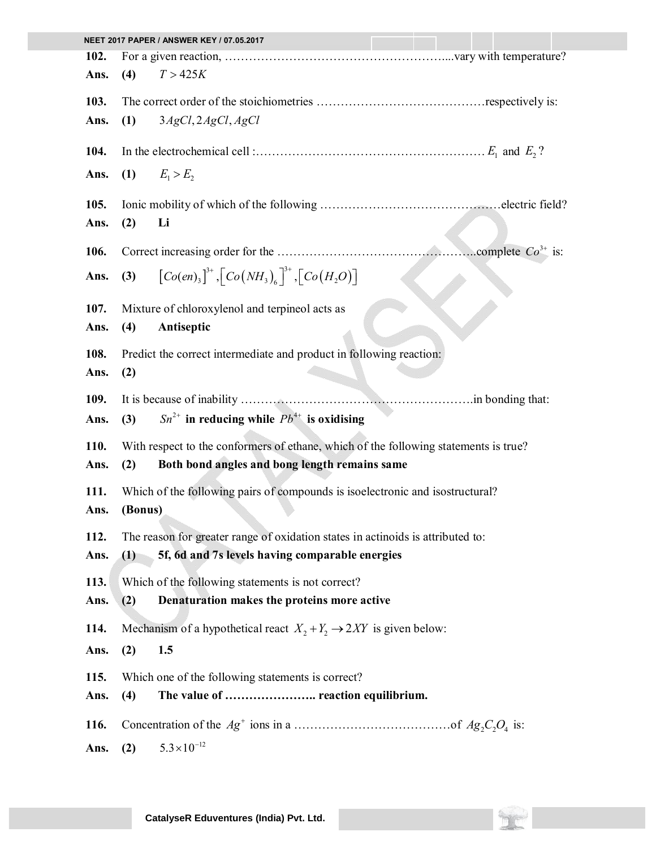|      | NEET 2017 PAPER / ANSWER KEY / 07.05.2017              |                                                                                      |  |  |  |
|------|--------------------------------------------------------|--------------------------------------------------------------------------------------|--|--|--|
| 102. |                                                        |                                                                                      |  |  |  |
| Ans. | (4)                                                    | T > 425K                                                                             |  |  |  |
| 103. |                                                        |                                                                                      |  |  |  |
|      |                                                        |                                                                                      |  |  |  |
| Ans. | (1)                                                    | 3AgCl, 2AgCl, AgCl                                                                   |  |  |  |
| 104. |                                                        |                                                                                      |  |  |  |
| Ans. | (1)                                                    | $E_1 > E_2$                                                                          |  |  |  |
| 105. |                                                        |                                                                                      |  |  |  |
| Ans. | (2)                                                    | Li                                                                                   |  |  |  |
|      |                                                        |                                                                                      |  |  |  |
| 106. |                                                        |                                                                                      |  |  |  |
| Ans. | (3)                                                    | $[Co(en)_3]^{3+}$ , $[Co(NH_3)_6]^{3+}$ , $[Co(H_2O)]$                               |  |  |  |
|      |                                                        |                                                                                      |  |  |  |
| 107. |                                                        | Mixture of chloroxylenol and terpineol acts as                                       |  |  |  |
| Ans. | (4)                                                    | Antiseptic                                                                           |  |  |  |
|      |                                                        |                                                                                      |  |  |  |
| 108. |                                                        | Predict the correct intermediate and product in following reaction:                  |  |  |  |
| Ans. | (2)                                                    |                                                                                      |  |  |  |
| 109. |                                                        |                                                                                      |  |  |  |
|      |                                                        | $Sn^{2+}$ in reducing while $Pb^{4+}$ is oxidising                                   |  |  |  |
| Ans. | (3)                                                    |                                                                                      |  |  |  |
| 110. |                                                        | With respect to the conformers of ethane, which of the following statements is true? |  |  |  |
| Ans. | (2)                                                    | Both bond angles and bong length remains same                                        |  |  |  |
| 111. |                                                        | Which of the following pairs of compounds is isoelectronic and isostructural?        |  |  |  |
| Ans. | (Bonus)                                                |                                                                                      |  |  |  |
|      |                                                        |                                                                                      |  |  |  |
| 112. |                                                        | The reason for greater range of oxidation states in actinoids is attributed to:      |  |  |  |
| Ans. | 5f, 6d and 7s levels having comparable energies<br>(1) |                                                                                      |  |  |  |
| 113. |                                                        | Which of the following statements is not correct?                                    |  |  |  |
| Ans. | (2)                                                    | Denaturation makes the proteins more active                                          |  |  |  |
|      |                                                        |                                                                                      |  |  |  |
| 114. |                                                        | Mechanism of a hypothetical react $X_2 + Y_2 \rightarrow 2XY$ is given below:        |  |  |  |
| Ans. | (2)                                                    | 1.5                                                                                  |  |  |  |
| 115. |                                                        | Which one of the following statements is correct?                                    |  |  |  |
| Ans. | (4)                                                    | The value of  reaction equilibrium.                                                  |  |  |  |
|      |                                                        |                                                                                      |  |  |  |
| 116. |                                                        |                                                                                      |  |  |  |
| Ans. | (2)                                                    | $5.3 \times 10^{-12}$                                                                |  |  |  |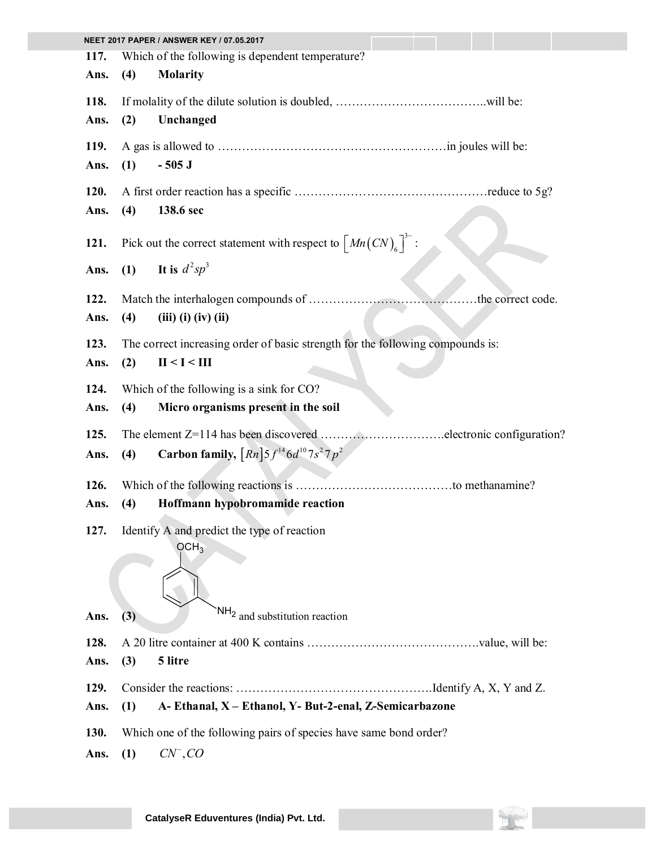|      |                                                                                | NEET 2017 PAPER / ANSWER KEY / 07.05.2017                                                  |  |  |  |  |
|------|--------------------------------------------------------------------------------|--------------------------------------------------------------------------------------------|--|--|--|--|
| 117. |                                                                                | Which of the following is dependent temperature?                                           |  |  |  |  |
| Ans. | (4)                                                                            | <b>Molarity</b>                                                                            |  |  |  |  |
| 118. |                                                                                |                                                                                            |  |  |  |  |
| Ans. | (2)                                                                            | Unchanged                                                                                  |  |  |  |  |
| 119. |                                                                                |                                                                                            |  |  |  |  |
| Ans. | (1)                                                                            | $-505$ J                                                                                   |  |  |  |  |
| 120. |                                                                                |                                                                                            |  |  |  |  |
| Ans. | (4)                                                                            | 138.6 sec                                                                                  |  |  |  |  |
| 121. |                                                                                | Pick out the correct statement with respect to $\left[ Mn(CN)_{6} \right]$ <sup>--</sup> : |  |  |  |  |
| Ans. | (1)                                                                            | It is $d^2sp^3$                                                                            |  |  |  |  |
| 122. |                                                                                | the correct code.                                                                          |  |  |  |  |
| Ans. | (4)                                                                            | $(iii)$ $(i)$ $(iv)$ $(ii)$                                                                |  |  |  |  |
| 123. | The correct increasing order of basic strength for the following compounds is: |                                                                                            |  |  |  |  |
| Ans. | (2)                                                                            | II < I < III                                                                               |  |  |  |  |
| 124. | Which of the following is a sink for CO?                                       |                                                                                            |  |  |  |  |
| Ans. | (4)                                                                            | Micro organisms present in the soil                                                        |  |  |  |  |
| 125. |                                                                                |                                                                                            |  |  |  |  |
| Ans. | (4)                                                                            | <b>Carbon family,</b> $\left[ Rn \right] 5f^{14} 6d^{10} 7s^2 7p^2$                        |  |  |  |  |
| 126. |                                                                                |                                                                                            |  |  |  |  |
| Ans. | (4)                                                                            | Hoffmann hypobromamide reaction                                                            |  |  |  |  |
| 127. |                                                                                | Identify A and predict the type of reaction                                                |  |  |  |  |
|      |                                                                                | OCH <sub>3</sub>                                                                           |  |  |  |  |
| Ans. | (3)                                                                            | $NH2$ and substitution reaction                                                            |  |  |  |  |
| 128. |                                                                                |                                                                                            |  |  |  |  |
| Ans. | (3)                                                                            | 5 litre                                                                                    |  |  |  |  |
| 129. |                                                                                |                                                                                            |  |  |  |  |
|      |                                                                                |                                                                                            |  |  |  |  |
| Ans. | (1)                                                                            | A-Ethanal, X - Ethanol, Y- But-2-enal, Z-Semicarbazone                                     |  |  |  |  |
| 130. |                                                                                | Which one of the following pairs of species have same bond order?                          |  |  |  |  |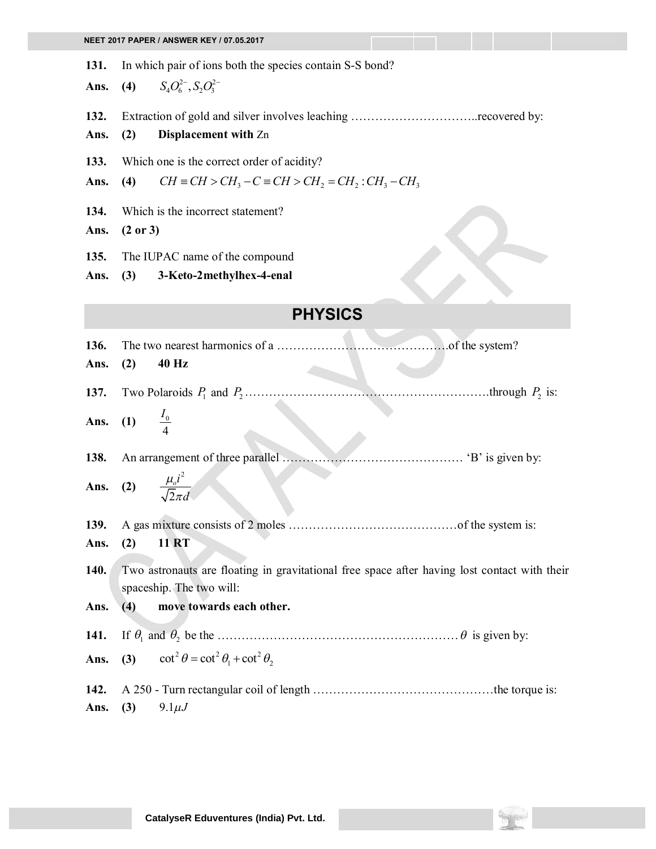**131.** In which pair of ions both the species contain S-S bond?

**Ans. (4)**  $S_4 O_6^{2-}$ ,  $S_2 O_3^{2-}$ 

**132.** Extraction of gold and silver involves leaching …………………………..recovered by:

## **Ans. (2) Displacement with** Zn

**133.** Which one is the correct order of acidity?

Ans. **(4)**  $CH \equiv CH > CH_3 - C \equiv CH > CH_2 = CH_2 : CH_3 - CH_3$ 

**134.** Which is the incorrect statement?

**Ans. (2 or 3)**

**135.** The IUPAC name of the compound

**Ans. (3) 3-Keto-2methylhex-4-enal**

## **PHYSICS**

| 136.         |                                 |                                                                                                                          |
|--------------|---------------------------------|--------------------------------------------------------------------------------------------------------------------------|
| Ans.         | (2)                             | 40 Hz                                                                                                                    |
|              |                                 |                                                                                                                          |
|              | <b>Ans.</b> (1) $\frac{I_0}{4}$ |                                                                                                                          |
| 138.         |                                 |                                                                                                                          |
|              |                                 | Ans. (2) $\frac{\mu_o i^2}{\sqrt{2} \pi d}$                                                                              |
| 139.         |                                 |                                                                                                                          |
| Ans.         | (2)                             | <b>11 RT</b>                                                                                                             |
| 140.         |                                 | Two astronauts are floating in gravitational free space after having lost contact with their<br>spaceship. The two will: |
| Ans.         | (4)                             | move towards each other.                                                                                                 |
| 141.         |                                 |                                                                                                                          |
|              |                                 | Ans. (3) $\cot^2 \theta = \cot^2 \theta_1 + \cot^2 \theta_2$                                                             |
| 142.<br>Ans. |                                 | (3) $9.1 \mu J$                                                                                                          |

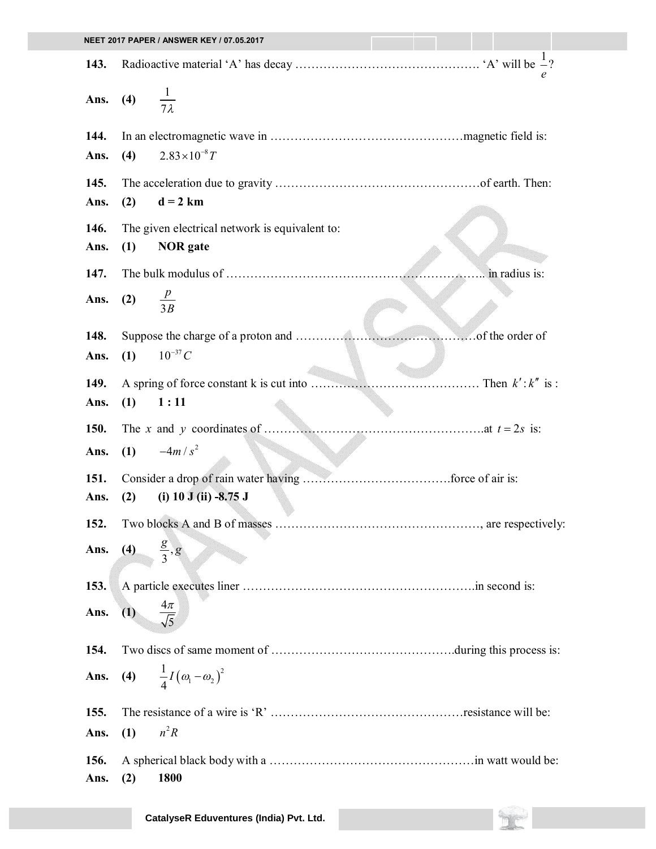|              |                          | NEET 2017 PAPER / ANSWER KEY / 07.05.2017      |               |
|--------------|--------------------------|------------------------------------------------|---------------|
| 143.         |                          |                                                |               |
| Ans.         | (4) $\frac{1}{7\lambda}$ |                                                |               |
| 144.         |                          |                                                |               |
| Ans.         | (4)                      | $2.83 \times 10^{-8} T$                        |               |
| 145.         |                          |                                                |               |
| Ans.         | (2)                      | $d = 2 km$                                     |               |
| 146.         |                          | The given electrical network is equivalent to: |               |
| Ans.         | (1)                      | <b>NOR</b> gate                                |               |
| 147.         |                          |                                                | in radius is: |
| Ans.         | (2) $\frac{p}{3B}$       |                                                |               |
| 148.         |                          |                                                |               |
| Ans.         | (1)                      | $10^{-37}C$                                    |               |
| 149.         |                          |                                                |               |
| Ans.         | (1)                      | 1:11                                           |               |
| <b>150.</b>  |                          |                                                |               |
| Ans.         |                          | (1) $-4m/s^2$                                  |               |
| 151.         |                          |                                                |               |
| Ans.         | (2)                      | (i) $10$ J (ii) $-8.75$ J                      |               |
| 152.         |                          |                                                |               |
| Ans.         | (4) $\frac{g}{3}$ , g    |                                                |               |
| 153.         |                          |                                                |               |
| Ans.         | (1)                      | $\frac{4\pi}{\sqrt{5}}$                        |               |
| 154.         |                          |                                                |               |
| Ans.         |                          | (4) $\frac{1}{4}I(\omega_1-\omega_2)^2$        |               |
| 155.         |                          |                                                |               |
| Ans.         | (1)                      | $n^2R$                                         |               |
| 156.<br>Ans. | (2)                      | 1800                                           |               |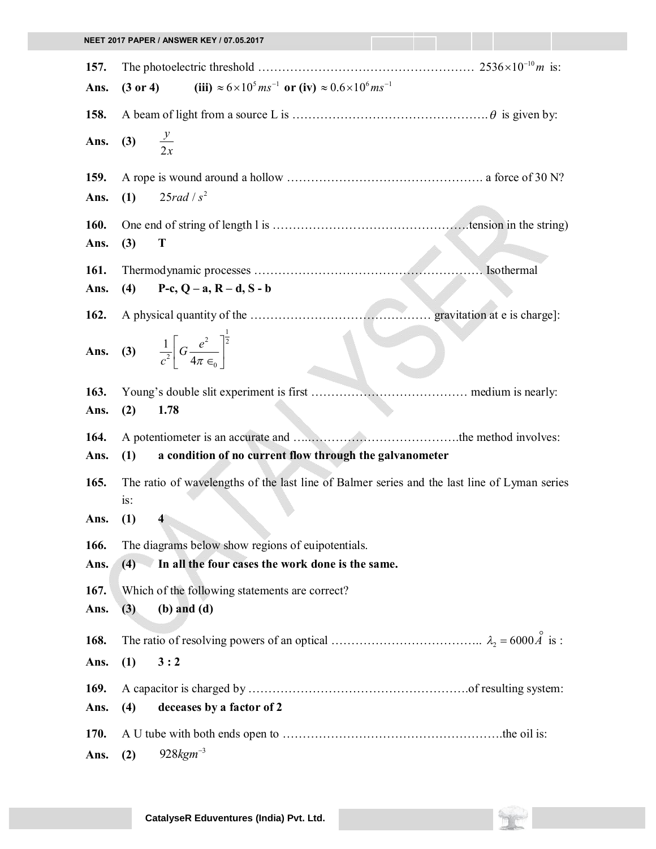| NEET 2017 PAPER / ANSWER KEY / 07.05.2017 |                                                                                                              |  |  |  |
|-------------------------------------------|--------------------------------------------------------------------------------------------------------------|--|--|--|
|                                           |                                                                                                              |  |  |  |
| 157.                                      |                                                                                                              |  |  |  |
| Ans.                                      | (iii) $\approx 6 \times 10^5 \text{ ms}^{-1}$ or (iv) $\approx 0.6 \times 10^6 \text{ ms}^{-1}$<br>(3 or 4)  |  |  |  |
| 158.                                      |                                                                                                              |  |  |  |
| Ans.                                      | (3) $\frac{y}{2x}$                                                                                           |  |  |  |
| 159.                                      |                                                                                                              |  |  |  |
| Ans.                                      | 25rad/s <sup>2</sup><br>(1)                                                                                  |  |  |  |
| 160.                                      |                                                                                                              |  |  |  |
| Ans.                                      | T<br>(3)                                                                                                     |  |  |  |
| 161.                                      | Isothermal                                                                                                   |  |  |  |
| Ans.                                      | P-c, $Q - a$ , $R - d$ , $S - b$<br>(4)                                                                      |  |  |  |
|                                           |                                                                                                              |  |  |  |
| 162.                                      |                                                                                                              |  |  |  |
|                                           | Ans. (3) $\frac{1}{c^2}\left[G\frac{e^2}{4\pi\epsilon}\right]^{\frac{1}{2}}$                                 |  |  |  |
| 163.                                      |                                                                                                              |  |  |  |
| Ans.                                      | 1.78<br>(2)                                                                                                  |  |  |  |
| 164.                                      |                                                                                                              |  |  |  |
| Ans.                                      | a condition of no current flow through the galvanometer<br>(1)                                               |  |  |  |
| 165.                                      |                                                                                                              |  |  |  |
|                                           | The ratio of wavelengths of the last line of Balmer series and the last line of Lyman series<br>is:          |  |  |  |
| Ans.                                      | (1)<br>4                                                                                                     |  |  |  |
|                                           |                                                                                                              |  |  |  |
| 166.<br>Ans.                              | The diagrams below show regions of euipotentials.<br>In all the four cases the work done is the same.<br>(4) |  |  |  |
|                                           |                                                                                                              |  |  |  |
| 167.                                      | Which of the following statements are correct?                                                               |  |  |  |
| Ans.                                      | $(b)$ and $(d)$<br>(3)                                                                                       |  |  |  |
| 168.                                      |                                                                                                              |  |  |  |
| Ans.                                      | 3:2<br>(1)                                                                                                   |  |  |  |
|                                           |                                                                                                              |  |  |  |
| 169.                                      |                                                                                                              |  |  |  |
| Ans.                                      | deceases by a factor of 2<br>(4)                                                                             |  |  |  |
| 170.                                      |                                                                                                              |  |  |  |
| Ans.                                      | $928$ <i>kgm</i> <sup>-3</sup><br>(2)                                                                        |  |  |  |

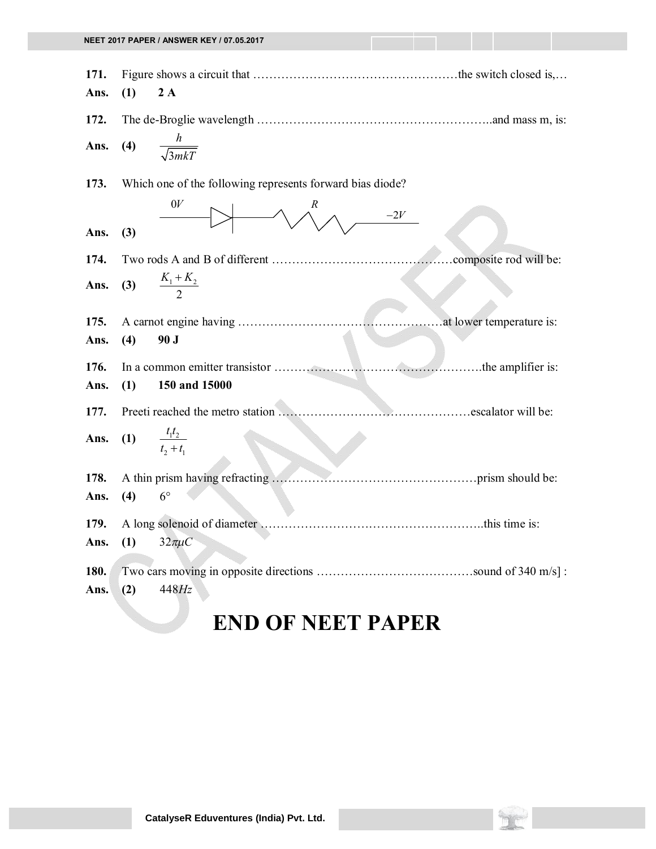| 171.         |     |                                                           |  |
|--------------|-----|-----------------------------------------------------------|--|
| Ans.         | (1) | 2A                                                        |  |
| 172.         |     |                                                           |  |
| Ans.         | (4) | $\frac{h}{\sqrt{3mkT}}$                                   |  |
| 173.         |     | Which one of the following represents forward bias diode? |  |
| Ans.         | (3) | 0V<br>R<br>$-2V$                                          |  |
| 174.         |     |                                                           |  |
| Ans.         |     | (3) $\frac{K_1 + K_2}{2}$                                 |  |
| 175.         |     |                                                           |  |
| Ans.         | (4) | 90 J                                                      |  |
| 176.         |     |                                                           |  |
| Ans.         | (1) | 150 and 15000                                             |  |
| 177.         |     |                                                           |  |
| Ans.         |     | (1) $\frac{t_1 t_2}{t_2 + t_1}$                           |  |
| 178.         |     |                                                           |  |
| Ans.         | (4) | $6^{\circ}$                                               |  |
| 179.         |     |                                                           |  |
| Ans.         |     | (1) $32\pi\mu C$                                          |  |
| 180.<br>Ans. | (2) | 448Hz                                                     |  |
|              |     | <b>END OF NEET PAPER</b>                                  |  |

## **CatalyseR Eduventures (India) Pvt. Ltd.**